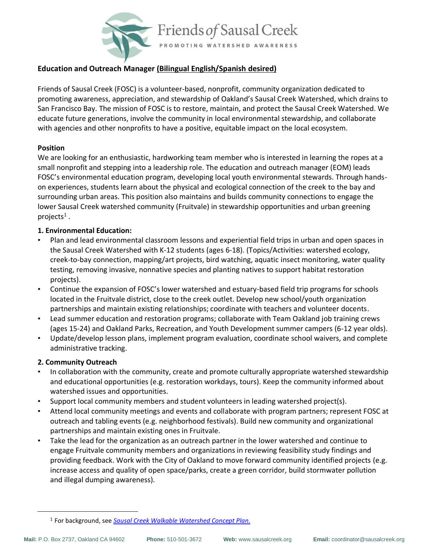

# **Education and Outreach Manager (Bilingual English/Spanish desired)**

Friends of Sausal Creek (FOSC) is a volunteer-based, nonprofit, community organization dedicated to promoting awareness, appreciation, and stewardship of Oakland's Sausal Creek Watershed, which drains to San Francisco Bay. The mission of FOSC is to restore, maintain, and protect the Sausal Creek Watershed. We educate future generations, involve the community in local environmental stewardship, and collaborate with agencies and other nonprofits to have a positive, equitable impact on the local ecosystem.

#### **Position**

We are looking for an enthusiastic, hardworking team member who is interested in learning the ropes at a small nonprofit and stepping into a leadership role. The education and outreach manager (EOM) leads FOSC's environmental education program, developing local youth environmental stewards. Through handson experiences, students learn about the physical and ecological connection of the creek to the bay and surrounding urban areas. This position also maintains and builds community connections to engage the lower Sausal Creek watershed community (Fruitvale) in stewardship opportunities and urban greening projects $^{\rm 1}$  .

#### **1. Environmental Education:**

- Plan and lead environmental classroom lessons and experiential field trips in urban and open spaces in the Sausal Creek Watershed with K-12 students (ages 6-18). (Topics/Activities: watershed ecology, creek-to-bay connection, mapping/art projects, bird watching, aquatic insect monitoring, water quality testing, removing invasive, nonnative species and planting natives to support habitat restoration projects).
- Continue the expansion of FOSC's lower watershed and estuary-based field trip programs for schools located in the Fruitvale district, close to the creek outlet. Develop new school/youth organization partnerships and maintain existing relationships; coordinate with teachers and volunteer docents.
- Lead summer education and restoration programs; collaborate with Team Oakland job training crews (ages 15-24) and Oakland Parks, Recreation, and Youth Development summer campers (6-12 year olds).
- Update/develop lesson plans, implement program evaluation, coordinate school waivers, and complete administrative tracking.

## **2. Community Outreach**

- In collaboration with the community, create and promote culturally appropriate watershed stewardship and educational opportunities (e.g. restoration workdays, tours). Keep the community informed about watershed issues and opportunities.
- Support local community members and student volunteers in leading watershed project(s).
- Attend local community meetings and events and collaborate with program partners; represent FOSC at outreach and tabling events (e.g. neighborhood festivals). Build new community and organizational partnerships and maintain existing ones in Fruitvale.
- Take the lead for the organization as an outreach partner in the lower watershed and continue to engage Fruitvale community members and organizations in reviewing feasibility study findings and providing feedback. Work with the City of Oakland to move forward community identified projects (e.g. increase access and quality of open space/parks, create a green corridor, build stormwater pollution and illegal dumping awareness).

<sup>1</sup> For background, see *[Sausal Creek Walkable Watershed Concept Plan.](about:blank)*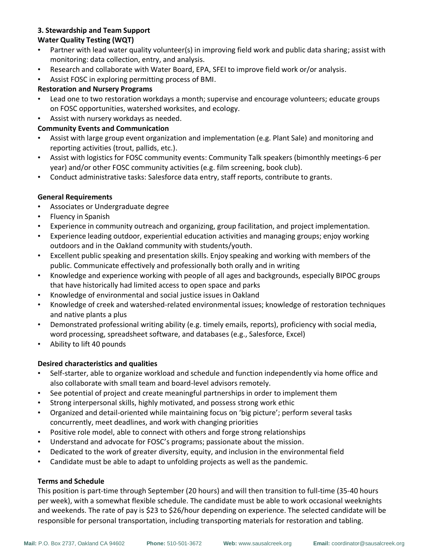# **3. Stewardship and Team Support**

## **Water Quality Testing (WQT)**

- Partner with lead water quality volunteer(s) in improving field work and public data sharing; assist with monitoring: data collection, entry, and analysis.
- Research and collaborate with Water Board, EPA, SFEI to improve field work or/or analysis.
- Assist FOSC in exploring permitting process of BMI.

## **Restoration and Nursery Programs**

- Lead one to two restoration workdays a month; supervise and encourage volunteers; educate groups on FOSC opportunities, watershed worksites, and ecology.
- Assist with nursery workdays as needed.

## **Community Events and Communication**

- Assist with large group event organization and implementation (e.g. Plant Sale) and monitoring and reporting activities (trout, pallids, etc.).
- Assist with logistics for FOSC community events: Community Talk speakers (bimonthly meetings-6 per year) and/or other FOSC community activities (e.g. film screening, book club).
- Conduct administrative tasks: Salesforce data entry, staff reports, contribute to grants.

## **General Requirements**

- Associates or Undergraduate degree
- Fluency in Spanish
- Experience in community outreach and organizing, group facilitation, and project implementation.
- Experience leading outdoor, experiential education activities and managing groups; enjoy working outdoors and in the Oakland community with students/youth.
- Excellent public speaking and presentation skills. Enjoy speaking and working with members of the public. Communicate effectively and professionally both orally and in writing
- Knowledge and experience working with people of all ages and backgrounds, especially BIPOC groups that have historically had limited access to open space and parks
- Knowledge of environmental and social justice issues in Oakland
- Knowledge of creek and watershed-related environmental issues; knowledge of restoration techniques and native plants a plus
- Demonstrated professional writing ability (e.g. timely emails, reports), proficiency with social media, word processing, spreadsheet software, and databases (e.g., Salesforce, Excel)
- Ability to lift 40 pounds

# **Desired characteristics and qualities**

- Self-starter, able to organize workload and schedule and function independently via home office and also collaborate with small team and board-level advisors remotely.
- See potential of project and create meaningful partnerships in order to implement them
- Strong interpersonal skills, highly motivated, and possess strong work ethic
- Organized and detail-oriented while maintaining focus on 'big picture'; perform several tasks concurrently, meet deadlines, and work with changing priorities
- Positive role model, able to connect with others and forge strong relationships
- Understand and advocate for FOSC's programs; passionate about the mission.
- Dedicated to the work of greater diversity, equity, and inclusion in the environmental field
- Candidate must be able to adapt to unfolding projects as well as the pandemic.

## **Terms and Schedule**

This position is part-time through September (20 hours) and will then transition to full-time (35-40 hours per week), with a somewhat flexible schedule. The candidate must be able to work occasional weeknights and weekends. The rate of pay is \$23 to \$26/hour depending on experience. The selected candidate will be responsible for personal transportation, including transporting materials for restoration and tabling.